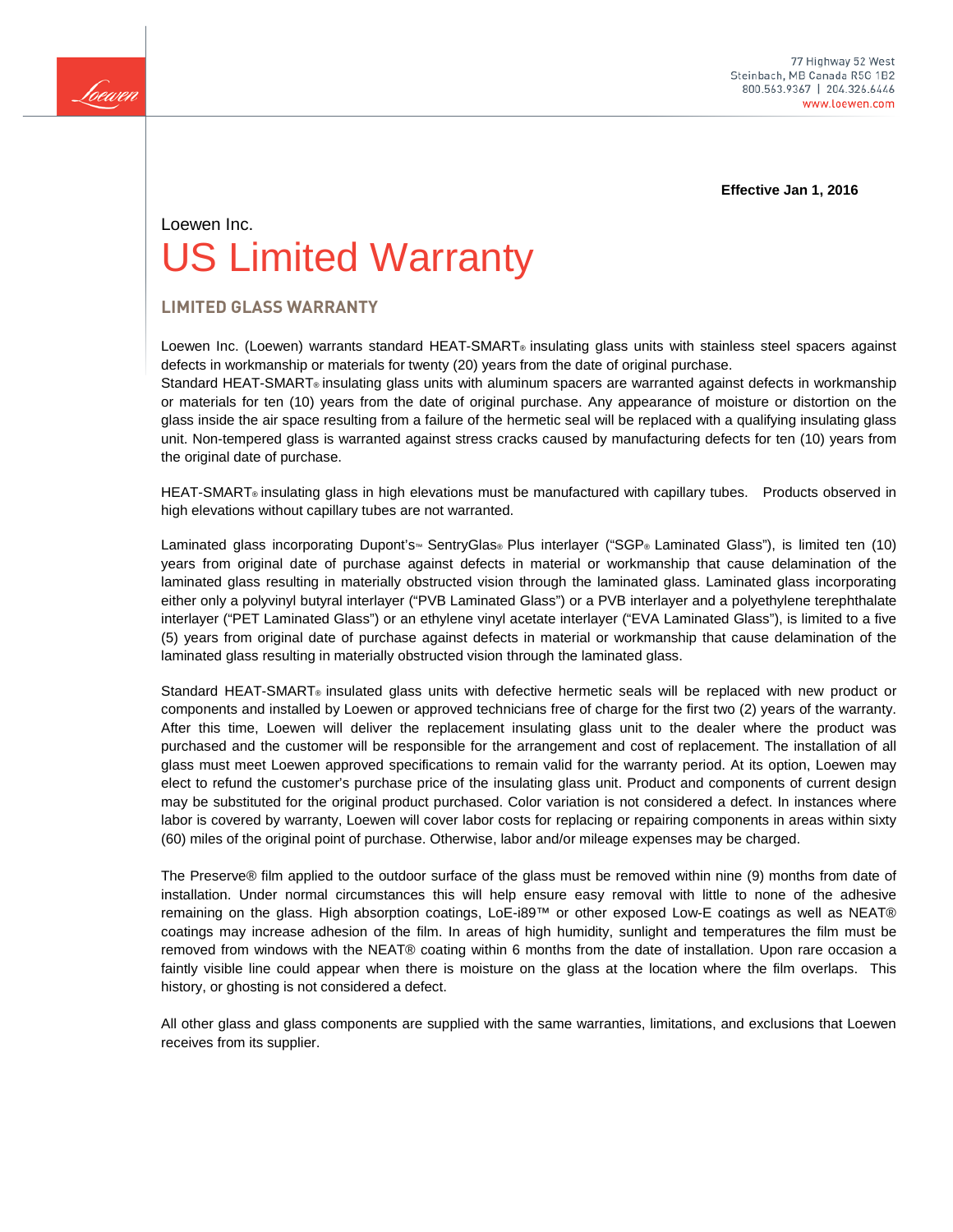

**Effective Jan 1, 2016** 

# Loewen Inc. US Limited Warranty

# **LIMITED GLASS WARRANTY**

Loewen Inc. (Loewen) warrants standard HEAT-SMART® insulating glass units with stainless steel spacers against defects in workmanship or materials for twenty (20) years from the date of original purchase.

Standard HEAT-SMART® insulating glass units with aluminum spacers are warranted against defects in workmanship or materials for ten (10) years from the date of original purchase. Any appearance of moisture or distortion on the glass inside the air space resulting from a failure of the hermetic seal will be replaced with a qualifying insulating glass unit. Non-tempered glass is warranted against stress cracks caused by manufacturing defects for ten (10) years from the original date of purchase.

HEAT-SMART® insulating glass in high elevations must be manufactured with capillary tubes. Products observed in high elevations without capillary tubes are not warranted.

Laminated glass incorporating Dupont's<sup>™</sup> SentryGlas® Plus interlayer ("SGP® Laminated Glass"), is limited ten (10) years from original date of purchase against defects in material or workmanship that cause delamination of the laminated glass resulting in materially obstructed vision through the laminated glass. Laminated glass incorporating either only a polyvinyl butyral interlayer ("PVB Laminated Glass") or a PVB interlayer and a polyethylene terephthalate interlayer ("PET Laminated Glass") or an ethylene vinyl acetate interlayer ("EVA Laminated Glass"), is limited to a five (5) years from original date of purchase against defects in material or workmanship that cause delamination of the laminated glass resulting in materially obstructed vision through the laminated glass.

Standard HEAT-SMART® insulated glass units with defective hermetic seals will be replaced with new product or components and installed by Loewen or approved technicians free of charge for the first two (2) years of the warranty. After this time, Loewen will deliver the replacement insulating glass unit to the dealer where the product was purchased and the customer will be responsible for the arrangement and cost of replacement. The installation of all glass must meet Loewen approved specifications to remain valid for the warranty period. At its option, Loewen may elect to refund the customer's purchase price of the insulating glass unit. Product and components of current design may be substituted for the original product purchased. Color variation is not considered a defect. In instances where labor is covered by warranty, Loewen will cover labor costs for replacing or repairing components in areas within sixty (60) miles of the original point of purchase. Otherwise, labor and/or mileage expenses may be charged.

The Preserve® film applied to the outdoor surface of the glass must be removed within nine (9) months from date of installation. Under normal circumstances this will help ensure easy removal with little to none of the adhesive remaining on the glass. High absorption coatings, LoE-i89™ or other exposed Low-E coatings as well as NEAT® coatings may increase adhesion of the film. In areas of high humidity, sunlight and temperatures the film must be removed from windows with the NEAT® coating within 6 months from the date of installation. Upon rare occasion a faintly visible line could appear when there is moisture on the glass at the location where the film overlaps. This history, or ghosting is not considered a defect.

All other glass and glass components are supplied with the same warranties, limitations, and exclusions that Loewen receives from its supplier.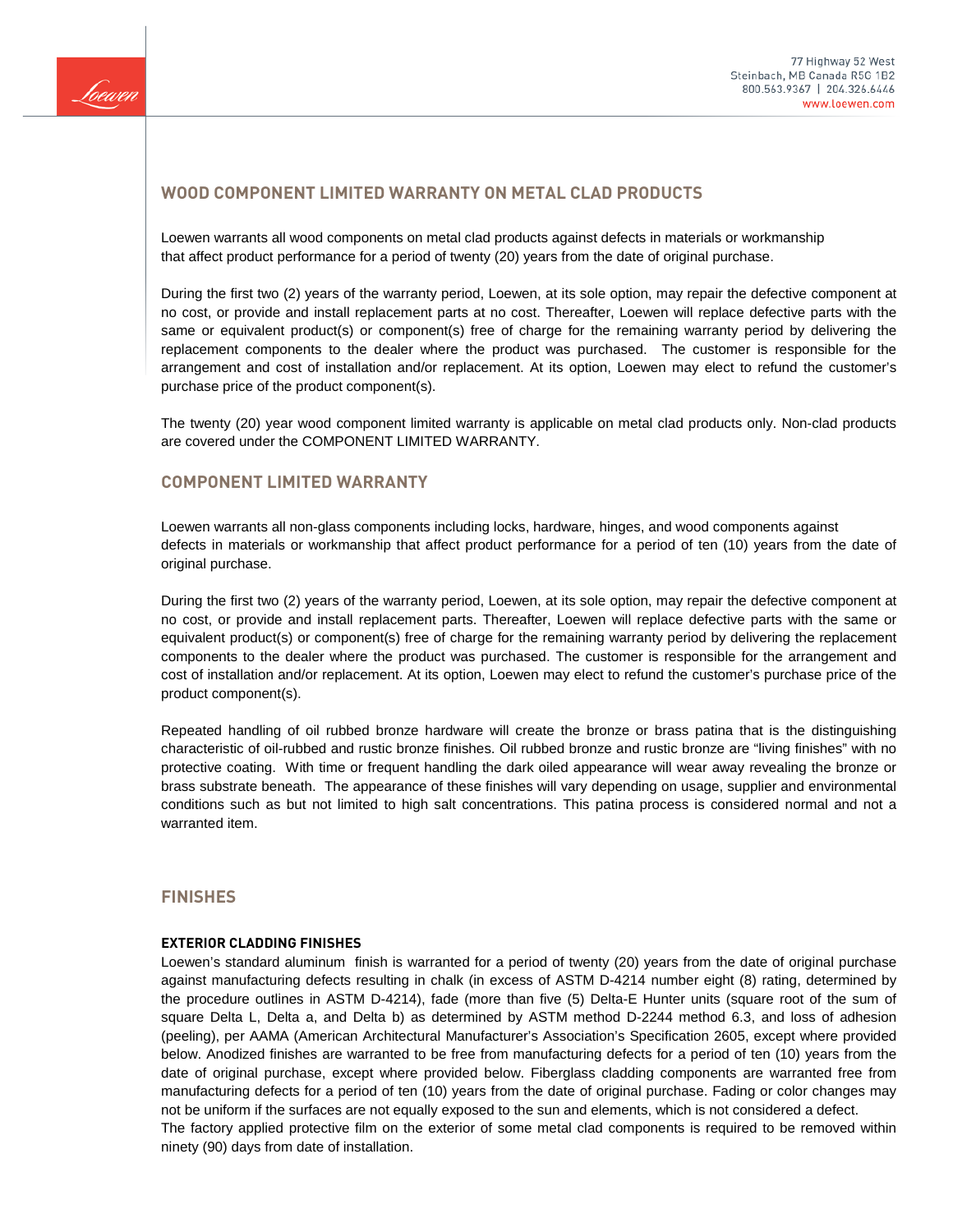

# **WOOD COMPONENT LIMITED WARRANTY ON METAL CLAD PRODUCTS**

Loewen warrants all wood components on metal clad products against defects in materials or workmanship that affect product performance for a period of twenty (20) years from the date of original purchase.

During the first two (2) years of the warranty period, Loewen, at its sole option, may repair the defective component at no cost, or provide and install replacement parts at no cost. Thereafter, Loewen will replace defective parts with the same or equivalent product(s) or component(s) free of charge for the remaining warranty period by delivering the replacement components to the dealer where the product was purchased. The customer is responsible for the arrangement and cost of installation and/or replacement. At its option, Loewen may elect to refund the customer's purchase price of the product component(s).

The twenty (20) year wood component limited warranty is applicable on metal clad products only. Non-clad products are covered under the COMPONENT LIMITED WARRANTY.

# **COMPONENT LIMITED WARRANTY**

Loewen warrants all non-glass components including locks, hardware, hinges, and wood components against defects in materials or workmanship that affect product performance for a period of ten (10) years from the date of original purchase.

During the first two (2) years of the warranty period, Loewen, at its sole option, may repair the defective component at no cost, or provide and install replacement parts. Thereafter, Loewen will replace defective parts with the same or equivalent product(s) or component(s) free of charge for the remaining warranty period by delivering the replacement components to the dealer where the product was purchased. The customer is responsible for the arrangement and cost of installation and/or replacement. At its option, Loewen may elect to refund the customer's purchase price of the product component(s).

Repeated handling of oil rubbed bronze hardware will create the bronze or brass patina that is the distinguishing characteristic of oil-rubbed and rustic bronze finishes. Oil rubbed bronze and rustic bronze are "living finishes" with no protective coating. With time or frequent handling the dark oiled appearance will wear away revealing the bronze or brass substrate beneath. The appearance of these finishes will vary depending on usage, supplier and environmental conditions such as but not limited to high salt concentrations. This patina process is considered normal and not a warranted item.

## **FINISHES**

#### **EXTERIOR CLADDING FINISHES**

Loewen's standard aluminum finish is warranted for a period of twenty (20) years from the date of original purchase against manufacturing defects resulting in chalk (in excess of ASTM D-4214 number eight (8) rating, determined by the procedure outlines in ASTM D-4214), fade (more than five (5) Delta-E Hunter units (square root of the sum of square Delta L, Delta a, and Delta b) as determined by ASTM method D-2244 method 6.3, and loss of adhesion (peeling), per AAMA (American Architectural Manufacturer's Association's Specification 2605, except where provided below. Anodized finishes are warranted to be free from manufacturing defects for a period of ten (10) years from the date of original purchase, except where provided below. Fiberglass cladding components are warranted free from manufacturing defects for a period of ten (10) years from the date of original purchase. Fading or color changes may not be uniform if the surfaces are not equally exposed to the sun and elements, which is not considered a defect. The factory applied protective film on the exterior of some metal clad components is required to be removed within ninety (90) days from date of installation.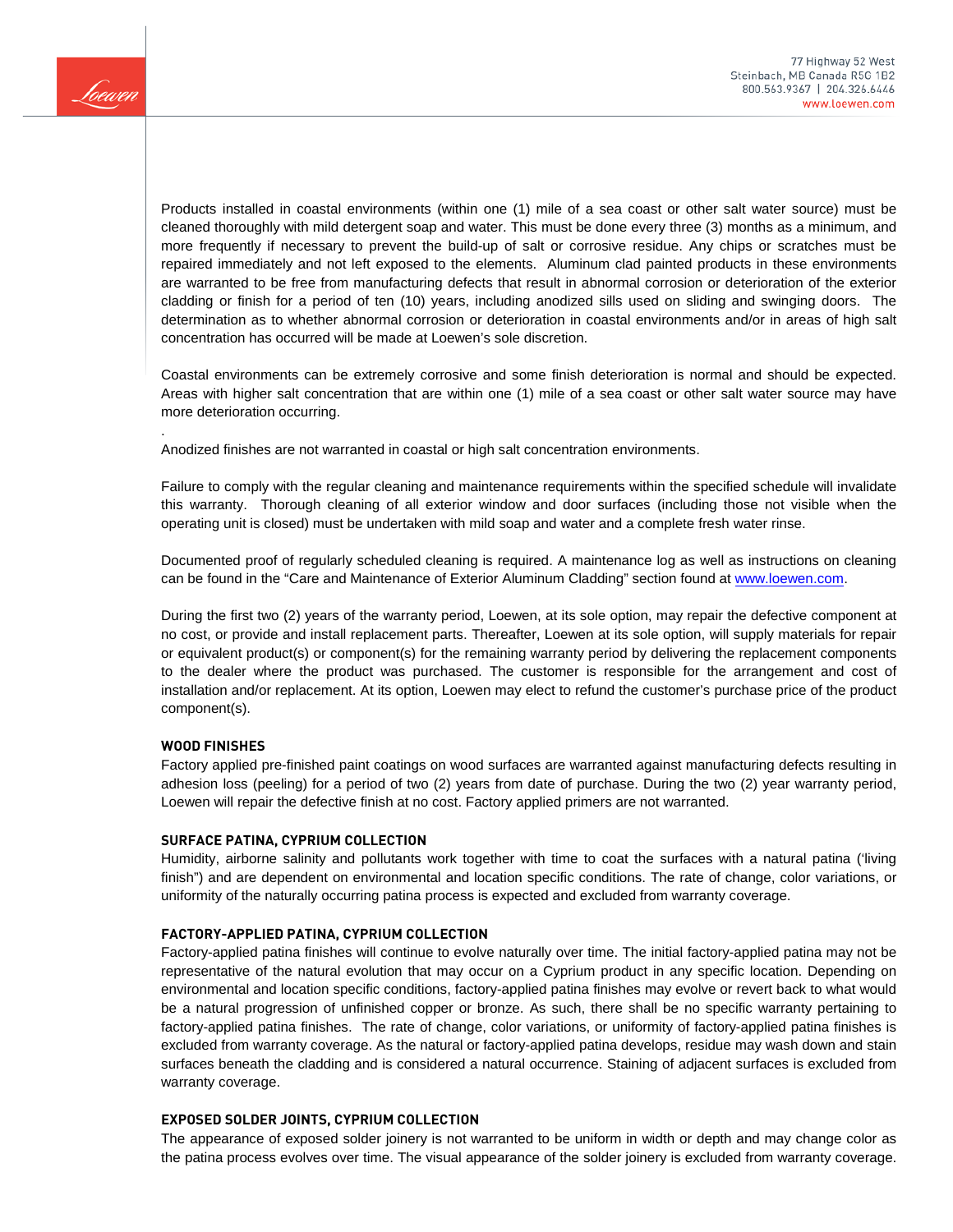

Products installed in coastal environments (within one (1) mile of a sea coast or other salt water source) must be cleaned thoroughly with mild detergent soap and water. This must be done every three (3) months as a minimum, and more frequently if necessary to prevent the build-up of salt or corrosive residue. Any chips or scratches must be repaired immediately and not left exposed to the elements. Aluminum clad painted products in these environments are warranted to be free from manufacturing defects that result in abnormal corrosion or deterioration of the exterior cladding or finish for a period of ten (10) years, including anodized sills used on sliding and swinging doors. The determination as to whether abnormal corrosion or deterioration in coastal environments and/or in areas of high salt concentration has occurred will be made at Loewen's sole discretion.

Coastal environments can be extremely corrosive and some finish deterioration is normal and should be expected. Areas with higher salt concentration that are within one (1) mile of a sea coast or other salt water source may have more deterioration occurring.

Anodized finishes are not warranted in coastal or high salt concentration environments.

Failure to comply with the regular cleaning and maintenance requirements within the specified schedule will invalidate this warranty. Thorough cleaning of all exterior window and door surfaces (including those not visible when the operating unit is closed) must be undertaken with mild soap and water and a complete fresh water rinse.

Documented proof of regularly scheduled cleaning is required. A maintenance log as well as instructions on cleaning can be found in the "Care and Maintenance of Exterior Aluminum Cladding" section found at [www.loewen.com.](http://www.loewen.com/)

During the first two (2) years of the warranty period, Loewen, at its sole option, may repair the defective component at no cost, or provide and install replacement parts. Thereafter, Loewen at its sole option, will supply materials for repair or equivalent product(s) or component(s) for the remaining warranty period by delivering the replacement components to the dealer where the product was purchased. The customer is responsible for the arrangement and cost of installation and/or replacement. At its option, Loewen may elect to refund the customer's purchase price of the product component(s).

#### **WOOD FINISHES**

.

Factory applied pre-finished paint coatings on wood surfaces are warranted against manufacturing defects resulting in adhesion loss (peeling) for a period of two (2) years from date of purchase. During the two (2) year warranty period, Loewen will repair the defective finish at no cost. Factory applied primers are not warranted.

#### **SURFACE PATINA, CYPRIUM COLLECTION**

Humidity, airborne salinity and pollutants work together with time to coat the surfaces with a natural patina ('living finish") and are dependent on environmental and location specific conditions. The rate of change, color variations, or uniformity of the naturally occurring patina process is expected and excluded from warranty coverage.

#### **FACTORY-APPLIED PATINA, CYPRIUM COLLECTION**

Factory-applied patina finishes will continue to evolve naturally over time. The initial factory-applied patina may not be representative of the natural evolution that may occur on a Cyprium product in any specific location. Depending on environmental and location specific conditions, factory-applied patina finishes may evolve or revert back to what would be a natural progression of unfinished copper or bronze. As such, there shall be no specific warranty pertaining to factory-applied patina finishes. The rate of change, color variations, or uniformity of factory-applied patina finishes is excluded from warranty coverage. As the natural or factory-applied patina develops, residue may wash down and stain surfaces beneath the cladding and is considered a natural occurrence. Staining of adjacent surfaces is excluded from warranty coverage.

#### **EXPOSED SOLDER JOINTS, CYPRIUM COLLECTION**

The appearance of exposed solder joinery is not warranted to be uniform in width or depth and may change color as the patina process evolves over time. The visual appearance of the solder joinery is excluded from warranty coverage.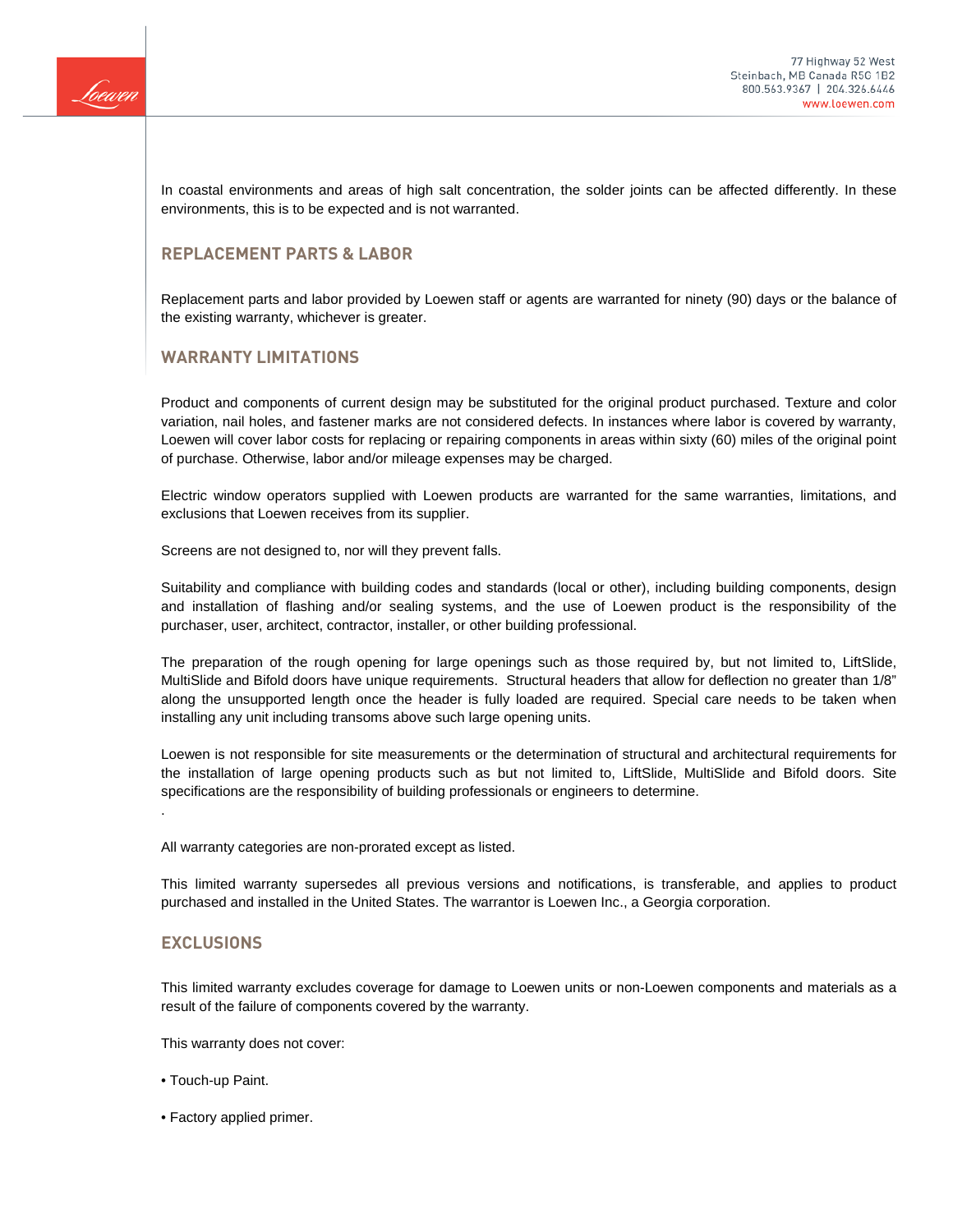

In coastal environments and areas of high salt concentration, the solder joints can be affected differently. In these environments, this is to be expected and is not warranted.

## **REPLACEMENT PARTS & LABOR**

Replacement parts and labor provided by Loewen staff or agents are warranted for ninety (90) days or the balance of the existing warranty, whichever is greater.

## **WARRANTY LIMITATIONS**

Product and components of current design may be substituted for the original product purchased. Texture and color variation, nail holes, and fastener marks are not considered defects. In instances where labor is covered by warranty, Loewen will cover labor costs for replacing or repairing components in areas within sixty (60) miles of the original point of purchase. Otherwise, labor and/or mileage expenses may be charged.

Electric window operators supplied with Loewen products are warranted for the same warranties, limitations, and exclusions that Loewen receives from its supplier.

Screens are not designed to, nor will they prevent falls.

Suitability and compliance with building codes and standards (local or other), including building components, design and installation of flashing and/or sealing systems, and the use of Loewen product is the responsibility of the purchaser, user, architect, contractor, installer, or other building professional.

The preparation of the rough opening for large openings such as those required by, but not limited to, LiftSlide, MultiSlide and Bifold doors have unique requirements. Structural headers that allow for deflection no greater than 1/8" along the unsupported length once the header is fully loaded are required. Special care needs to be taken when installing any unit including transoms above such large opening units.

Loewen is not responsible for site measurements or the determination of structural and architectural requirements for the installation of large opening products such as but not limited to, LiftSlide, MultiSlide and Bifold doors. Site specifications are the responsibility of building professionals or engineers to determine.

All warranty categories are non-prorated except as listed.

This limited warranty supersedes all previous versions and notifications, is transferable, and applies to product purchased and installed in the United States. The warrantor is Loewen Inc., a Georgia corporation.

#### **EXCLUSIONS**

.

This limited warranty excludes coverage for damage to Loewen units or non-Loewen components and materials as a result of the failure of components covered by the warranty.

This warranty does not cover:

- Touch-up Paint.
- Factory applied primer.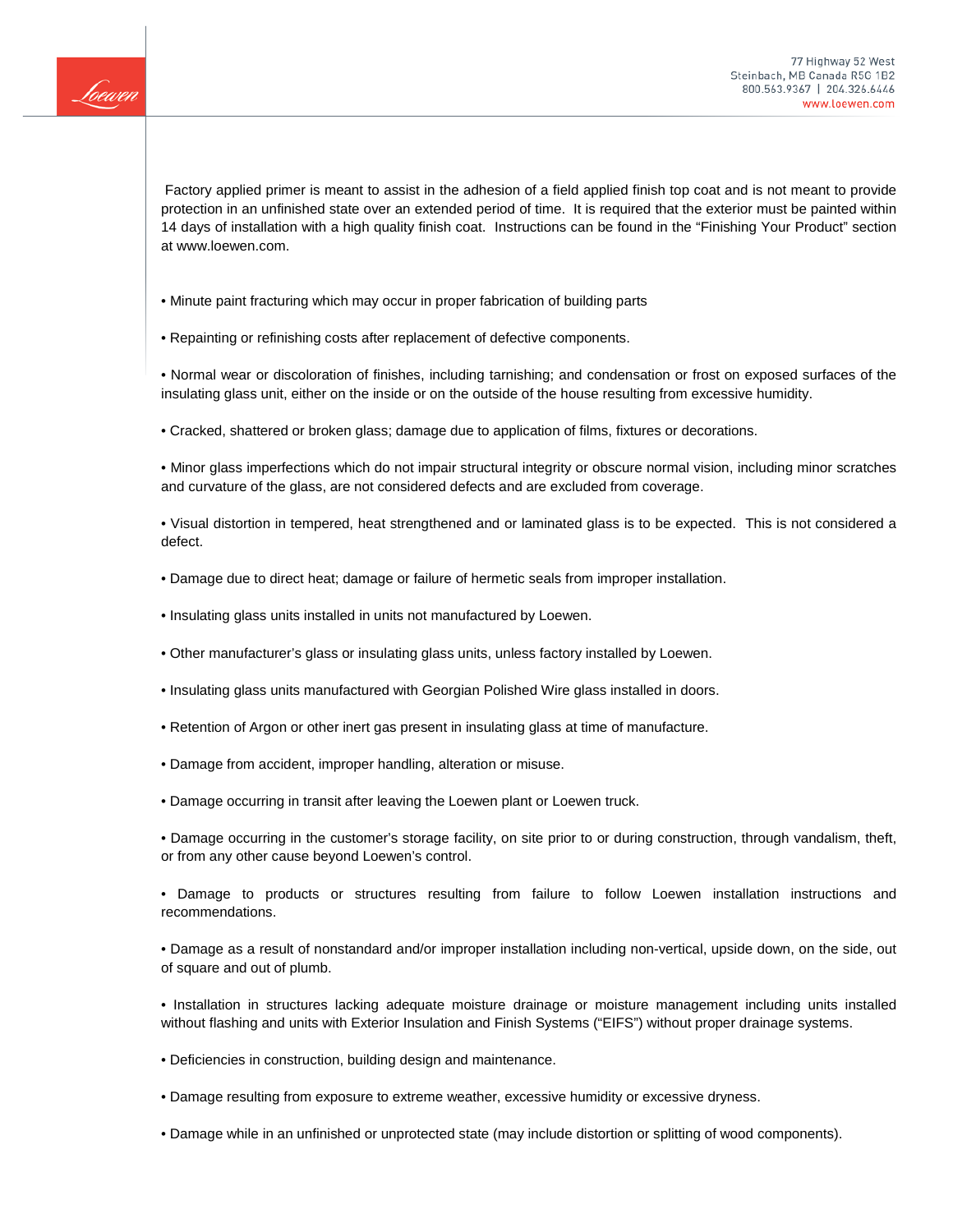

Factory applied primer is meant to assist in the adhesion of a field applied finish top coat and is not meant to provide protection in an unfinished state over an extended period of time. It is required that the exterior must be painted within 14 days of installation with a high quality finish coat. Instructions can be found in the "Finishing Your Product" section at www.loewen.com.

- Minute paint fracturing which may occur in proper fabrication of building parts
- Repainting or refinishing costs after replacement of defective components.

• Normal wear or discoloration of finishes, including tarnishing; and condensation or frost on exposed surfaces of the insulating glass unit, either on the inside or on the outside of the house resulting from excessive humidity.

• Cracked, shattered or broken glass; damage due to application of films, fixtures or decorations.

• Minor glass imperfections which do not impair structural integrity or obscure normal vision, including minor scratches and curvature of the glass, are not considered defects and are excluded from coverage.

• Visual distortion in tempered, heat strengthened and or laminated glass is to be expected. This is not considered a defect.

- Damage due to direct heat; damage or failure of hermetic seals from improper installation.
- Insulating glass units installed in units not manufactured by Loewen.
- Other manufacturer's glass or insulating glass units, unless factory installed by Loewen.
- Insulating glass units manufactured with Georgian Polished Wire glass installed in doors.
- Retention of Argon or other inert gas present in insulating glass at time of manufacture.
- Damage from accident, improper handling, alteration or misuse.
- Damage occurring in transit after leaving the Loewen plant or Loewen truck.

• Damage occurring in the customer's storage facility, on site prior to or during construction, through vandalism, theft, or from any other cause beyond Loewen's control.

• Damage to products or structures resulting from failure to follow Loewen installation instructions and recommendations.

• Damage as a result of nonstandard and/or improper installation including non-vertical, upside down, on the side, out of square and out of plumb.

• Installation in structures lacking adequate moisture drainage or moisture management including units installed without flashing and units with Exterior Insulation and Finish Systems ("EIFS") without proper drainage systems.

- Deficiencies in construction, building design and maintenance.
- Damage resulting from exposure to extreme weather, excessive humidity or excessive dryness.
- Damage while in an unfinished or unprotected state (may include distortion or splitting of wood components).